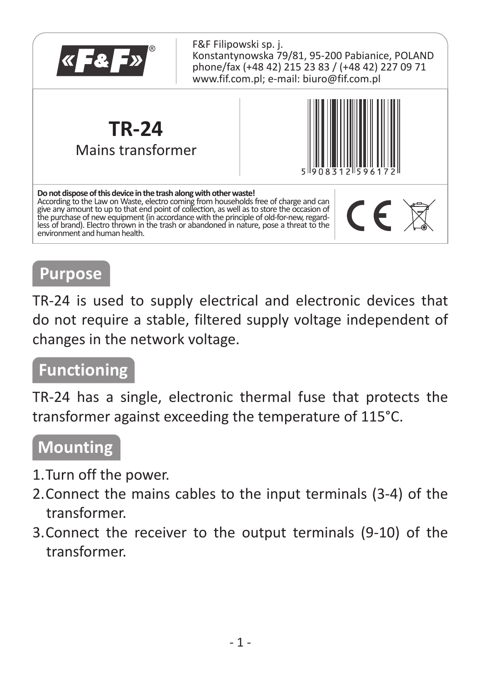

## **Purpose**

TR-24 is used to supply electrical and electronic devices that do not require a stable, filtered supply voltage independent of changes in the network voltage.

#### **Functioning**

TR-24 has a single, electronic thermal fuse that protects the transformer against exceeding the temperature of 115°C.

### **Mounting**

- 1. Turn off the power.
- 2. Connect the mains cables to the input terminals (3-4) of the transformer.
- 3. Connect the receiver to the output terminals (9-10) of the transformer.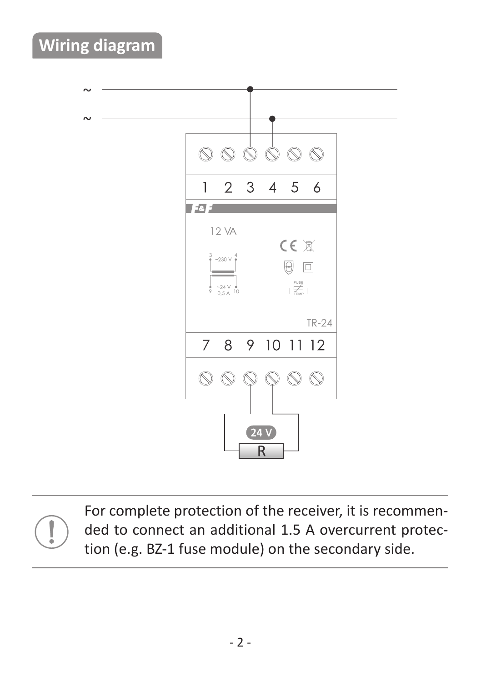## **Wiring diagram**



For complete protection of the receiver, it is recommended to connect an additional 1.5 A overcurrent protection (e.g. BZ-1 fuse module) on the secondary side.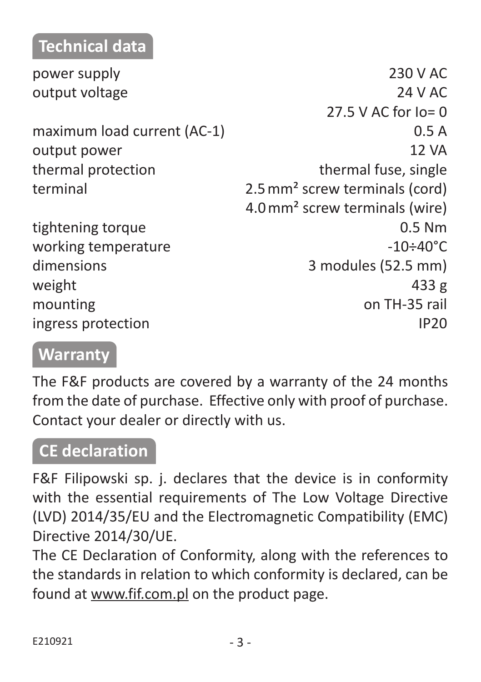### **Technical data**

| power supply                | 230 V AC                                   |
|-----------------------------|--------------------------------------------|
| output voltage              | 24 V AC                                    |
|                             | 27.5 V AC for $Io = 0$                     |
| maximum load current (AC-1) | 0.5A                                       |
| output power                | 12 VA                                      |
| thermal protection          | thermal fuse, single                       |
| terminal                    | 2.5 mm <sup>2</sup> screw terminals (cord) |
|                             | 4.0 mm <sup>2</sup> screw terminals (wire) |
| tightening torque           | $0.5$ Nm                                   |
| working temperature         | $-10 \div 40^{\circ}$ C                    |
| dimensions                  | 3 modules (52.5 mm)                        |
| weight                      | 433 g                                      |
| mounting                    | on TH-35 rail                              |
| ingress protection          | <b>IP20</b>                                |
|                             |                                            |

# **Warranty**

The F&F products are covered by a warranty of the 24 months from the date of purchase. Effective only with proof of purchase. Contact your dealer or directly with us.

#### **CE declaration**

F&F Filipowski sp. j. declares that the device is in conformity with the essential requirements of The Low Voltage Directive (LVD) 2014/35/EU and the Electromagnetic Compatibility (EMC) Directive 2014/30/UE.

The CE Declaration of Conformity, along with the references to the standards in relation to which conformity is declared, can be found at www.fif.com.pl on the product page.